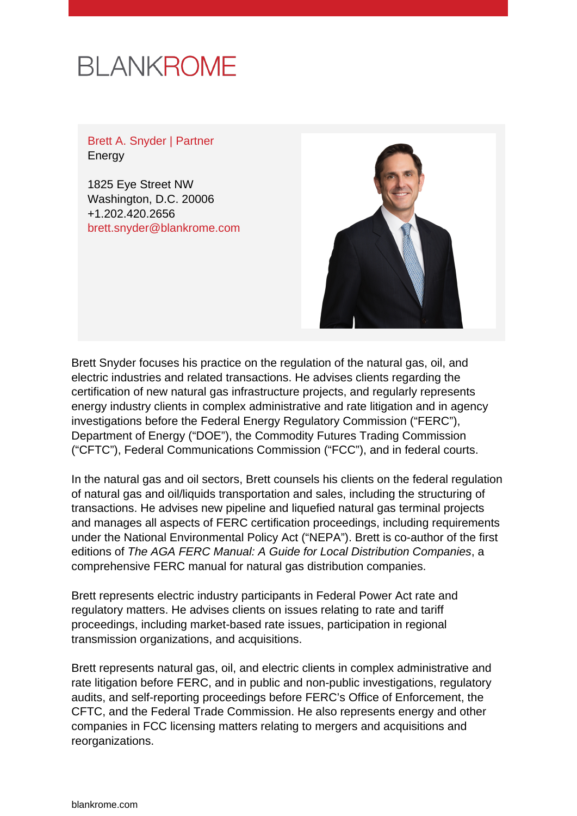# **BLANKROME**

Brett A. Snyder | Partner Energy

1825 Eye Street NW Washington, D.C. 20006 +1.202.420.2656 [brett.snyder@blankrome.com](mailto:brett.snyder@blankrome.com)



Brett Snyder focuses his practice on the regulation of the natural gas, oil, and electric industries and related transactions. He advises clients regarding the certification of new natural gas infrastructure projects, and regularly represents energy industry clients in complex administrative and rate litigation and in agency investigations before the Federal Energy Regulatory Commission ("FERC"), Department of Energy ("DOE"), the Commodity Futures Trading Commission ("CFTC"), Federal Communications Commission ("FCC"), and in federal courts.

In the natural gas and oil sectors, Brett counsels his clients on the federal regulation of natural gas and oil/liquids transportation and sales, including the structuring of transactions. He advises new pipeline and liquefied natural gas terminal projects and manages all aspects of FERC certification proceedings, including requirements under the National Environmental Policy Act ("NEPA"). Brett is co-author of the first editions of The AGA FERC Manual: A Guide for Local Distribution Companies, a comprehensive FERC manual for natural gas distribution companies.

Brett represents electric industry participants in Federal Power Act rate and regulatory matters. He advises clients on issues relating to rate and tariff proceedings, including market-based rate issues, participation in regional transmission organizations, and acquisitions.

Brett represents natural gas, oil, and electric clients in complex administrative and rate litigation before FERC, and in public and non-public investigations, regulatory audits, and self-reporting proceedings before FERC's Office of Enforcement, the CFTC, and the Federal Trade Commission. He also represents energy and other companies in FCC licensing matters relating to mergers and acquisitions and reorganizations.